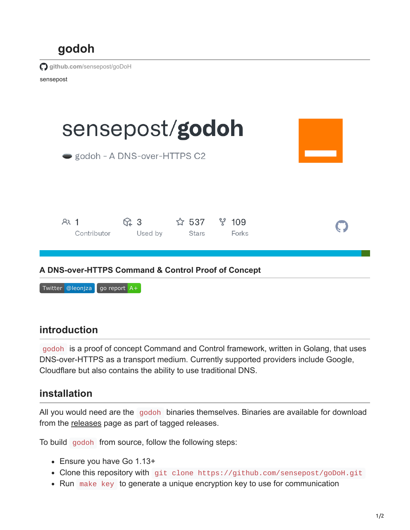

## **introduction**

godoh is a proof of concept Command and Control framework, written in Golang, that uses DNS-over-HTTPS as a transport medium. Currently supported providers include Google, Cloudflare but also contains the ability to use traditional DNS.

## **installation**

All you would need are the godoh binaries themselves. Binaries are available for download from the [releases](https://github.com/sensepost/goDoH/releases) page as part of tagged releases.

To build godoh from source, follow the following steps:

- Ensure you have Go 1.13+
- Clone this repository with git clone https://github.com/sensepost/goDoH.git
- Run make key to generate a unique encryption key to use for communication